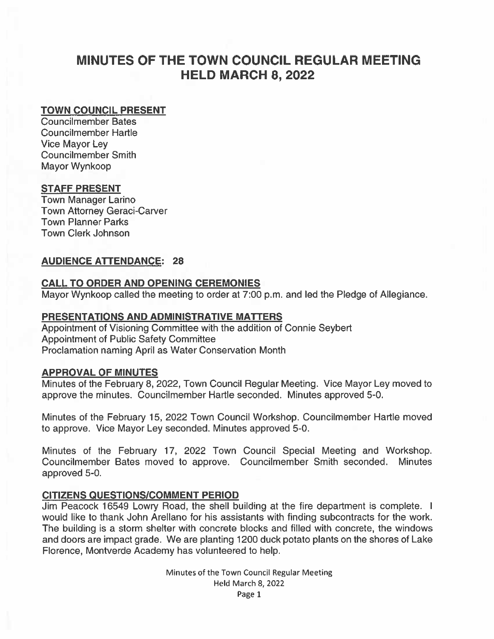# MINUTES OF THE TOWN COUNCIL REGULAR MEETING HELD MARCH 8, 2022

## TOWN COUNCIL PRESENT

Councilmember Bates Councilmember Hartle Vice Mayor Ley Councilmember Smith Mayor Wynkoop

# STAFF PRESENT

Town Manager Larino Town Attorney Geraci-Carver Town Planner Parks Town Clerk Johnson

## AUDIENCE ATTENDANCE: 28

## CALL TO ORDER AND OPENING CEREMONIES

Mayor Wynkoop called the meeting to order at 7:00 p.m. and led the Pledge of Allegiance.

## PRESENTATIONS AND ADMINISTRATIVE MATTERS

Appointment of Visioning Committee with the addition of Connie Seybert Appointment of Public Safety Committee Proclamation naming April as Water Conservation Month

## APPROVAL OF MINUTES

Minutes of the February 8, 2022, Town Council Regular Meeting. Vice Mayor Ley moved to approve the minutes. Councilmember Hartle seconded. Minutes approved 5-0.

Minutes of the February 15, 2022 Town Council Workshop. Councilmember Hartle moved to approve. Vice Mayor Ley seconded. Minutes approved 5-0.

Minutes of the February 17, 2022 Town Council Special Meeting and Workshop. Councilmember Bates moved to approve. Councilmember Smith seconded. Minutes approved 5-0.

# CITIZENS QUESTIONS/COMMENT PERIOD

Jim Peacock 16549 Lowry Road, the shell building at the fire department is complete. I would like to thank John Areilano for his assistants with finding subcontracts for the work. The building is <sup>a</sup> storm shelter with concrete blocks and filled with concrete, the windows and doors are impact grade. We are planting 1200 duck potato plants on the shores of Lake Florence, Montverde Academy has volunteered to help.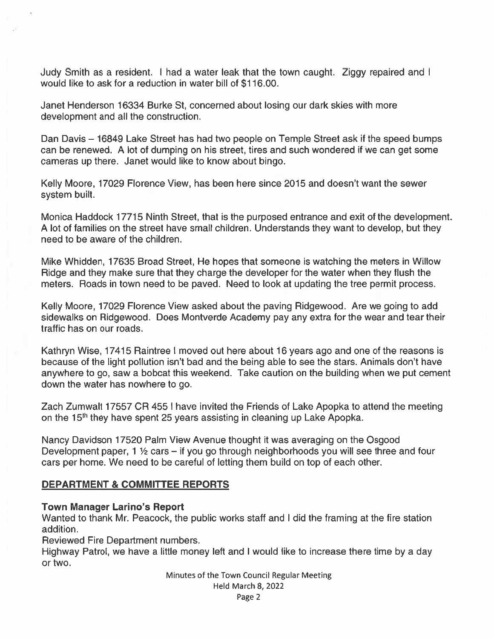Judy Smith as <sup>a</sup> resident. I had <sup>a</sup> water leak that the town caught. Ziggy repaired and I would like to ask for <sup>a</sup> reduction in water bill of \$116.00.

Janet Henderson 16334 Burke St, concerned about losing our dark skies with more development and all the construction.

Dan Davis — 16849 Lake Street has had two people on Temple Street ask if the speed bumps can be renewed. A lot of dumping on his street, tires and such wondered if we can ge<sup>t</sup> some cameras up there. Janet would like to know about bingo.

Kelly Moore, 17029 Florence View, has been here since 2015 and doesn't want the sewer system built.

Monica Haddock 17715 Ninth Street, that is the purposed entrance and exit of the development. A lot of families on the street have small children. Understands they want to develop, but they need to be aware of the children.

Mike Whidden, 17635 Broad Street, He hopes that someone is watching the meters in Willow Ridge and they make sure that they charge the developer for the water when they flush the meters. Roads in town need to be paved. Need to look at updating the tree permit process.

Kelly Moore, 17029 Florence View asked about the paving Ridgewood. Are we going to add sidewalks on Ridgewood. Does Montverde Academy pay any extra for the wear and tear their traffic has on our roads.

Kathryn Wise, 17415 Raintree I moved out here about 16 years ago and one of the reasons is because of the light pollution isn't bad and the being able to see the stars. Animals don't have anywhere to go, saw <sup>a</sup> bobcat this weekend. Take caution on the building when we pu<sup>t</sup> cement down the water has nowhere to go.

Zach Zumwalt 17557 CR 455 I have invited the Friends of Lake Apopka to attend the meeting on the 15<sup>th</sup> they have spent 25 years assisting in cleaning up Lake Apopka.

Nancy Davidson 17520 Palm View Avenue thought it was averaging on the Osgood Development paper, 1  $\frac{1}{2}$  cars – if you go through neighborhoods you will see three and four cars per home. We need to be careful of letting them build on top of each other.

# DEPARTMENT & COMMITTEE REPORTS

## Town Manager Larino's Report

Wanted to thank Mr. Peacock, the public works staff and I did the framing at the fire station addition.

Reviewed Fire Department numbers.

Highway Patrol, we have <sup>a</sup> little money left and I would like to increase there time by <sup>a</sup> day or two.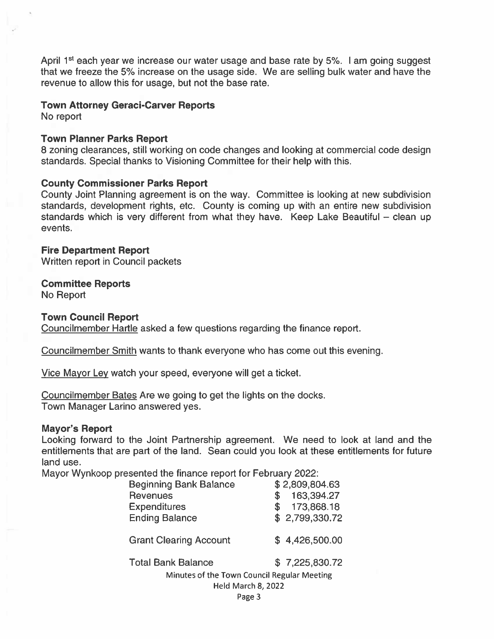April  $1<sup>st</sup>$  each year we increase our water usage and base rate by 5%. I am going suggest that we freeze the 5% increase on the usage side. We are selling bulk water and have the revenue to allow this for usage, but not the base rate.

#### Town Attorney Geraci-Carver Reports

No repor<sup>t</sup>

#### Town Planner Parks Report

8 zoning clearances, still working on code changes and looking at commercial code design standards. Special thanks to Visioning Committee for their help with this.

#### County Commissioner Parks Report

County Joint Planning agreemen<sup>t</sup> is on the way. Committee is looking at new subdivision standards, development rights, etc. County is coming up with an entire new subdivision standards which is very different from what they have. Keep Lake Beautiful — clean up events.

Fire Department Report Written repor<sup>t</sup> in Council packets

Committee Reports

No Report

#### Town Council Report

Councilmember Hartle asked <sup>a</sup> few questions regarding the finance report.

Councilmember Smith wants to thank everyone who has come out this evening.

Vice Mayor Ley watch your speed, everyone will ge<sup>t</sup> <sup>a</sup> ticket.

Councilmember Bates Are we going to ge<sup>t</sup> the lights on the docks. Town Manager Larino answered yes.

#### Mayor's Report

Looking forward to the Joint Partnership agreement. We need to look at land and the entitlements that are par<sup>t</sup> of the land. Sean could you look at these entitlements for future land use.

Mayor Wynkoop presented the finance repor<sup>t</sup> for February 2022:

| <b>Beginning Bank Balance</b>               | \$2,809,804.63   |
|---------------------------------------------|------------------|
| <b>Revenues</b>                             | 163,394.27<br>\$ |
| <b>Expenditures</b>                         | 173,868.18<br>S  |
| <b>Ending Balance</b>                       | \$2,799,330.72   |
| <b>Grant Clearing Account</b>               | \$4,426,500.00   |
| <b>Total Bank Balance</b>                   | \$7,225,830.72   |
| Minutes of the Town Council Regular Meeting |                  |
| Held March 8, 2022                          |                  |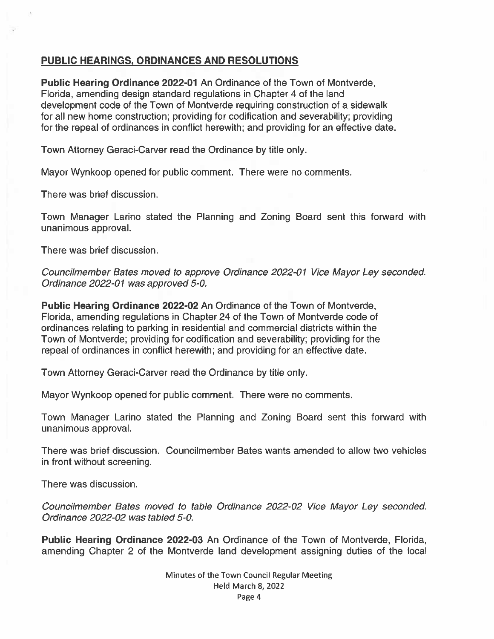# PUBLIC HEARINGS, ORDINANCES AND RESOLUTIONS

Public Hearing Ordinance 2022-01 An Ordinance of the Town of Montverde, Florida, amending design standard regulations in Chapter 4 of the land development code of the Town of Montverde requiring construction of <sup>a</sup> sidewalk for all new home construction; providing for codification and severability; providing for the repeal of ordinances in conflict herewith; and providing for an effective date.

Town Attorney Geraci-Carver read the Ordinance by title only.

Mayor Wynkoop opened for public comment. There were no comments.

There was brief discussion.

Town Manager Larino stated the Planning and Zoning Board sent this forward with unanimous approval.

There was brief discussion.

Councilmember Bates moved to approve Ordinance 2022-01 Vice Mayor Ley seconded. Ordinance 2022-01 was approved 5-0.

Public Hearing Ordinance 2022-02 An Ordinance of the Town of Montverde, Florida, amending regulations in Chapter 24 of the Town of Montverde code of ordinances relating to parking in residential and commercial districts within the Town of Montverde; providing for codification and severability; providing for the repeal of ordinances in conflict herewith; and providing for an effective date.

Town Attorney Geraci-Carver read the Ordinance by title only.

Mayor Wynkoop opened for public comment. There were no comments.

Town Manager Larino stated the Planning and Zoning Board sent this forward with unanimous approval.

There was brief discussion. Councilmember Bates wants amended to allow two vehicles in front without screening.

There was discussion.

Councilmember Bates moved to table Ordinance 2022-02 Vice Mayor Ley seconded. Ordinance 2022-02 was tabled 5-0.

Public Hearing Ordinance 2022-03 An Ordinance of the Town of Montverde, Florida, amending Chapter 2 of the Montverde land development assigning duties of the local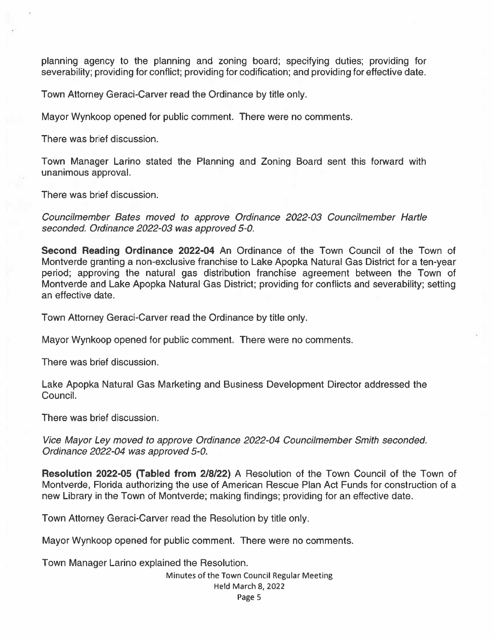planning agency to the planning and zoning board; specifying duties; providing for severability; providing for conflict; providing for codification; and providing for effective date.

Town Attorney Geraci-Carver read the Ordinance by title only.

Mayor Wynkoop opened for public comment. There were no comments.

There was brief discussion.

Town Manager Larino stated the Planning and Zoning Board sent this forward with unanimous approval.

There was brief discussion.

Councilmember Bates moved to approve Ordinance 2022-03 Councilmember Hartle seconded. Ordinance 2022-03 was approved 5-0.

Second Reading Ordinance 2022-04 An Ordinance of the Town Council of the Town of Montverde granting <sup>a</sup> non-exclusive franchise to Lake Apopka Natural Gas District for <sup>a</sup> ten-year period; approving the natural gas distribution franchise agreemen<sup>t</sup> between the Town of Montverde and Lake Apopka Natural Gas District; providing for conflicts and severability; setting an effective date.

Town Attorney Geraci-Carver read the Ordinance by title only.

Mayor Wynkoop opened for public comment. There were no comments.

There was brief discussion.

Lake Apopka Natural Gas Marketing and Business Development Director addressed the Council.

There was brief discussion.

Vice Mayor Ley moved to approve Ordinance 2022-04 Councilmember Smith seconded. Ordinance 2022-04 was approved 5-0.

Resolution 2022-05 (Tabled from 2/8/22) A Resolution of the Town Council of the Town of Montverde, Florida authorizing the use of American Rescue Plan Act Funds for construction of <sup>a</sup> new Library in the Town of Montverde; making findings; providing for an effective date.

Town Attorney Geraci-Carver read the Resolution by title only.

Mayor Wynkoop opened for public comment. There were no comments.

Town Manager Larino explained the Resolution.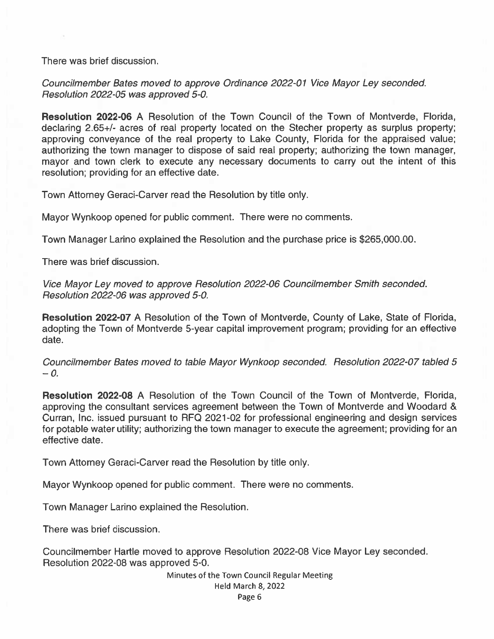There was brief discussion.

Councilmember Bates moved to approve Ordinance 2022-01 Vice Mayor Ley seconded. Resolution 2022-05 was approved 5-0.

Resolution 2022-06 A Resolution of the Town Council of the Town of Montverde, Florida, declaring 2.65+/- acres of real property located on the Stecher property as surplus property; approving conveyance of the real property to Lake County, Florida for the appraised value; authorizing the town manager to dispose of said real property; authorizing the town manager, mayor and town clerk to execute any necessary documents to carry out the intent of this resolution; providing for an effective date.

Town Attorney Geraci-Carver read the Resolution by title only.

Mayor Wynkoop opened for public comment. There were no comments.

Town Manager Larino explained the Resolution and the purchase price is \$265,000.00.

There was brief discussion.

Vice Mayor Ley moved to approve Resolution 2022-06 Councilmember Smith seconded. Resolution 2022-06 was approved 5-0.

Resolution 2022-07 A Resolution of the Town of Montverde, County of Lake, State of Florida, adopting the Town of Montverde 5-year capital improvement program; providing for an effective date.

Councilmember Bates moved to table Mayor Wynkoop seconded. Resolution 2022-07 tabled 5  $-0$ .

Resolution 2022-08 A Resolution of the Town Council of the Town of Montverde, Florida, approving the consultant services agreemen<sup>t</sup> between the Town of Montverde and Woodard & Curran, Inc. issued pursuan<sup>t</sup> to RFQ 2021-02 for professional engineering and design services for potable water utility; authorizing the town manager to execute the agreement; providing for an effective date.

Town Attorney Geraci-Carver read the Resolution by title only.

Mayor Wynkoop opened for public comment. There were no comments.

Town Manager Larino explained the Resolution.

There was brief discussion.

Councilmember Hartle moved to approve Resolution 2022-08 Vice Mayor Ley seconded. Resolution 2022-08 was approved 5-0.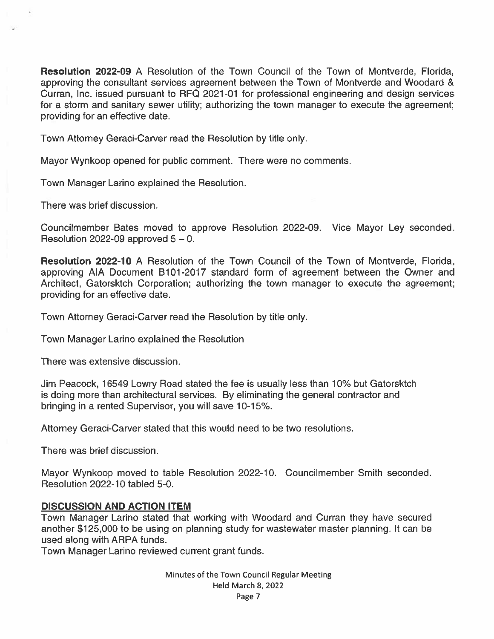Resolution 2022-09 A Resolution of the Town Council of the Town of Montverde, Florida, approving the consultant services agreemen<sup>t</sup> between the Town of Montverde and Woodard & Curran, Inc. issued pursuan<sup>t</sup> to RFQ 2021-01 for professional engineering and design services for a storm and sanitary sewer utility; authorizing the town manager to execute the agreement; providing for an effective date.

Town Attorney Geraci-Carver read the Resolution by title only.

Mayor Wynkoop opened for public comment. There were no comments.

Town Manager Larino explained the Resolution.

There was brief discussion.

Councilmember Bates moved to approve Resolution 2022-09. Vice Mayor Ley seconded. Resolution 2022-09 approved  $5 - 0$ .

Resolution 2022-10 A Resolution of the Town Council of the Town of Montverde, Florida, approving AlA Document B101-2017 standard form of agreemen<sup>t</sup> between the Owner and Architect, Gatorsktch Corporation; authorizing the town manager to execute the agreement; providing for an effective date.

Town Attorney Geraci-Carver read the Resolution by title only.

Town Manager Larino explained the Resolution

There was extensive discussion.

Jim Peacock, <sup>16549</sup> Lowry Road stated the fee is usually less than 10% but Gatorsktch is doing more than architectural services. By eliminating the general contractor and bringing in <sup>a</sup> rented Supervisor, you will save 10-15%.

Attorney Geraci-Carver stated that this would need to be two resolutions.

There was brief discussion.

Mayor Wynkoop moved to table Resolution 2022-10. Councilmember Smith seconded. Resolution 2022-10 tabled 5-0.

# DISCUSSION AND ACTION ITEM

Town Manager Larino stated that working with Woodard and Curran they have secured another \$125,000 to be using on planning study for wastewater master planning. It can be used along with ARPA funds.

Town Manager Larino reviewed current gran<sup>t</sup> funds.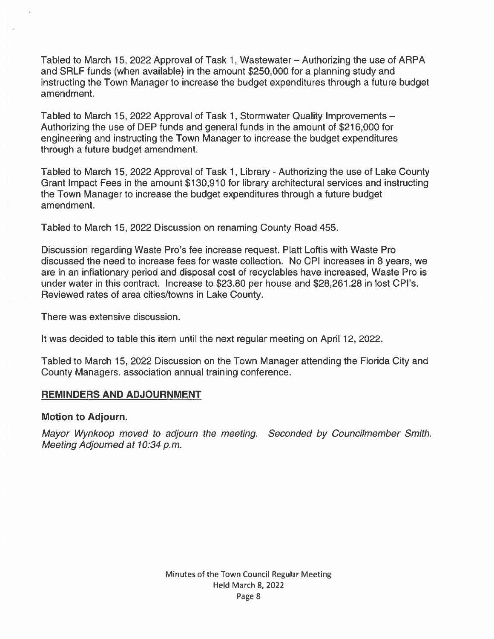Tabled to March 15, 2022 Approval of Task 1, Wastewater — Authorizing the use of ARPA and SRLF funds (when available) in the amount \$250,000 for <sup>a</sup> planning study and instructing the Town Manager to increase the budget expenditures through <sup>a</sup> future budget amendment.

Tabled to March 15, 2022 Approval of Task 1, Stormwater Quality Improvements — Authorizing the use of DEP funds and general funds in the amount of \$216,000 for engineering and instructing the Town Manager to increase the budget expenditures through <sup>a</sup> future budget amendment.

Tabled to March 15, 2022 Approval of Task 1, Library - Authorizing the use of Lake County Grant Impact Fees in the amount \$130,910 for library architectural services and instructing the Town Manager to increase the budget expenditures through <sup>a</sup> future budget amendment.

Tabled to March 15, 2022 Discussion on renaming County Road 455.

Discussion regarding Waste Pro's fee increase request. Platt Loftis with Waste Pro discussed the need to increase fees for waste collection. No CPI increases in 8 years, we are in an inflationary period and disposal cost of recyclables have increased, Waste Pro is under water in this contract. Increase to \$23.80 per house and \$28,261.28 in lost CPI's. Reviewed rates of area cities/towns in Lake County.

There was extensive discussion.

It was decided to table this item until the next regular meeting on April 12, 2022.

Tabled to March 15, 2022 Discussion on the Town Manager attending the Florida City and County Managers. association annual training conference.

# REMINDERS AND ADJOURNMENT

## Motion to Adjourn.

Mayor Wynkoop moved to adjourn the meeting. Seconded by Councilmember Smith. Meeting Adjourned at 10:34 p.m.